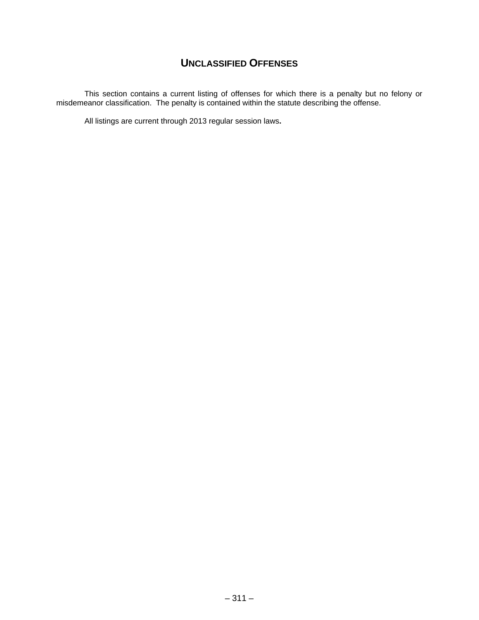# **UNCLASSIFIED OFFENSES**

This section contains a current listing of offenses for which there is a penalty but no felony or misdemeanor classification. The penalty is contained within the statute describing the offense.

All listings are current through 2013 regular session laws**.**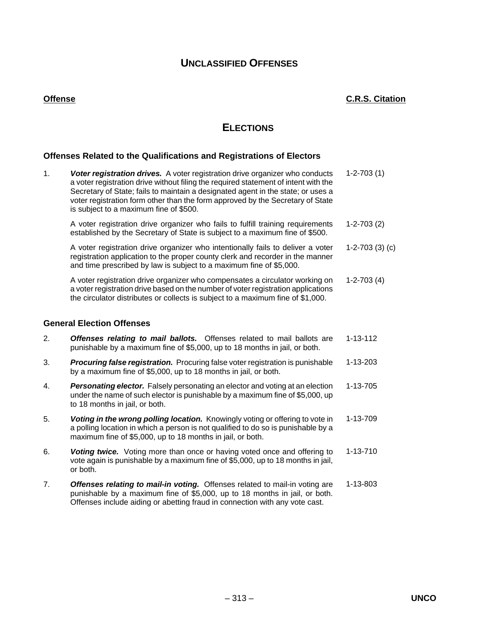# **UNCLASSIFIED OFFENSES**

# **ELECTIONS**

## **Offenses Related to the Qualifications and Registrations of Electors**

| 1. | Voter registration drives. A voter registration drive organizer who conducts<br>a voter registration drive without filing the required statement of intent with the<br>Secretary of State; fails to maintain a designated agent in the state; or uses a<br>voter registration form other than the form approved by the Secretary of State<br>is subject to a maximum fine of \$500. | $1 - 2 - 703(1)$ |
|----|-------------------------------------------------------------------------------------------------------------------------------------------------------------------------------------------------------------------------------------------------------------------------------------------------------------------------------------------------------------------------------------|------------------|
|    | A voter registration drive organizer who fails to fulfill training requirements<br>established by the Secretary of State is subject to a maximum fine of \$500.                                                                                                                                                                                                                     | $1-2-703(2)$     |
|    | A voter registration drive organizer who intentionally fails to deliver a voter<br>registration application to the proper county clerk and recorder in the manner<br>and time prescribed by law is subject to a maximum fine of \$5,000.                                                                                                                                            | $1-2-703(3)(c)$  |
|    | A voter registration drive organizer who compensates a circulator working on<br>a voter registration drive based on the number of voter registration applications<br>the circulator distributes or collects is subject to a maximum fine of \$1,000.                                                                                                                                | $1-2-703(4)$     |
|    | <b>General Election Offenses</b>                                                                                                                                                                                                                                                                                                                                                    |                  |
| 2. | <b>Offenses relating to mail ballots.</b> Offenses related to mail ballots are<br>punishable by a maximum fine of \$5,000, up to 18 months in jail, or both.                                                                                                                                                                                                                        | 1-13-112         |
| 3. | <b>Procuring false registration.</b> Procuring false voter registration is punishable<br>by a maximum fine of \$5,000, up to 18 months in jail, or both.                                                                                                                                                                                                                            | 1-13-203         |
| 4. | Personating elector. Falsely personating an elector and voting at an election<br>under the name of such elector is punishable by a maximum fine of \$5,000, up<br>to 18 months in jail, or both.                                                                                                                                                                                    | 1-13-705         |
| 5. | Voting in the wrong polling location. Knowingly voting or offering to vote in<br>a polling location in which a person is not qualified to do so is punishable by a<br>maximum fine of \$5,000, up to 18 months in jail, or both.                                                                                                                                                    | 1-13-709         |
| 6. | <b>Voting twice.</b> Voting more than once or having voted once and offering to<br>vote again is punishable by a maximum fine of \$5,000, up to 18 months in jail,<br>or both.                                                                                                                                                                                                      | 1-13-710         |
| 7. | Offenses relating to mail-in voting. Offenses related to mail-in voting are<br>punishable by a maximum fine of \$5,000, up to 18 months in jail, or both.<br>Offenses include aiding or abetting fraud in connection with any vote cast.                                                                                                                                            | 1-13-803         |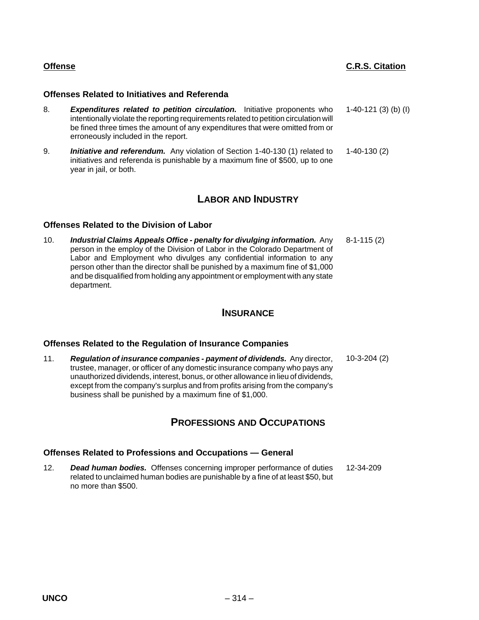#### **Offenses Related to Initiatives and Referenda**

- 8. *Expenditures related to petition circulation.* Initiative proponents who intentionally violate the reporting requirements related to petition circulation will be fined three times the amount of any expenditures that were omitted from or erroneously included in the report. 1-40-121 (3) (b) (I)
- 9. *Initiative and referendum.* Any violation of Section 1-40-130 (1) related to initiatives and referenda is punishable by a maximum fine of \$500, up to one year in jail, or both. 1-40-130 (2)

## **LABOR AND INDUSTRY**

## **Offenses Related to the Division of Labor**

10. *Industrial Claims Appeals Office - penalty for divulging information.* Any person in the employ of the Division of Labor in the Colorado Department of Labor and Employment who divulges any confidential information to any person other than the director shall be punished by a maximum fine of \$1,000 and be disqualified from holding any appointment or employment with any state department. 8-1-115 (2)

## **INSURANCE**

## **Offenses Related to the Regulation of Insurance Companies**

11. *Regulation of insurance companies - payment of dividends.* Any director, trustee, manager, or officer of any domestic insurance company who pays any unauthorized dividends, interest, bonus, or other allowance in lieu of dividends, except from the company's surplus and from profits arising from the company's business shall be punished by a maximum fine of \$1,000. 10-3-204 (2)

## **PROFESSIONS AND OCCUPATIONS**

## **Offenses Related to Professions and Occupations — General**

12. *Dead human bodies.* Offenses concerning improper performance of duties related to unclaimed human bodies are punishable by a fine of at least \$50, but no more than \$500. 12-34-209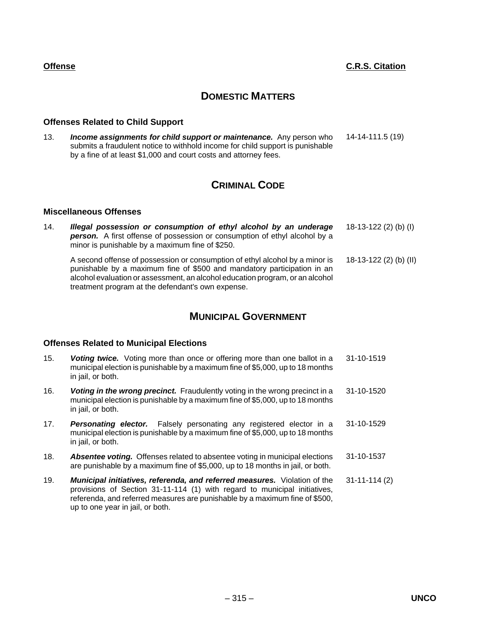# **DOMESTIC MATTERS**

## **Offenses Related to Child Support**

13. *Income assignments for child support or maintenance.* Any person who submits a fraudulent notice to withhold income for child support is punishable by a fine of at least \$1,000 and court costs and attorney fees. 14-14-111.5 (19)

# **CRIMINAL CODE**

#### **Miscellaneous Offenses**

14. *Illegal possession or consumption of ethyl alcohol by an underage* **person.** A first offense of possession or consumption of ethyl alcohol by a minor is punishable by a maximum fine of \$250. 18-13-122 (2) (b) (I) A second offense of possession or consumption of ethyl alcohol by a minor is punishable by a maximum fine of \$500 and mandatory participation in an alcohol evaluation or assessment, an alcohol education program, or an alcohol treatment program at the defendant's own expense. 18-13-122 (2) (b) (II)

# **MUNICIPAL GOVERNMENT**

## **Offenses Related to Municipal Elections**

- 15. *Voting twice.* Voting more than once or offering more than one ballot in a municipal election is punishable by a maximum fine of \$5,000, up to 18 months in jail, or both. 31-10-1519
- 16. *Voting in the wrong precinct.* Fraudulently voting in the wrong precinct in a municipal election is punishable by a maximum fine of \$5,000, up to 18 months in jail, or both. 31-10-1520
- 17. *Personating elector.* Falsely personating any registered elector in a municipal election is punishable by a maximum fine of \$5,000, up to 18 months in jail, or both. 31-10-1529
- 18. *Absentee voting.* Offenses related to absentee voting in municipal elections are punishable by a maximum fine of \$5,000, up to 18 months in jail, or both. 31-10-1537
- 19. *Municipal initiatives, referenda, and referred measures.* Violation of the provisions of Section 31-11-114 (1) with regard to municipal initiatives, referenda, and referred measures are punishable by a maximum fine of \$500, up to one year in jail, or both. 31-11-114 (2)